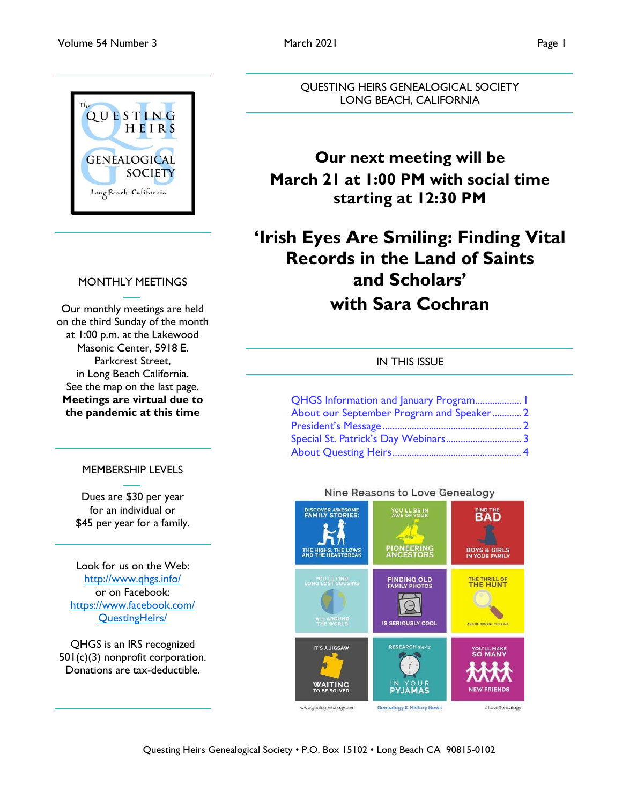

### MONTHLY MEETINGS

Our monthly meetings are held on the third Sunday of the month at 1:00 p.m. at the Lakewood Masonic Center, 5918 E. Parkcrest Street, in Long Beach California. See the map on the last page. **Meetings are virtual due to the pandemic at this time**

### MEMBERSHIP LEVELS

Dues are \$30 per year for an individual or \$45 per year for a family.

Look for us on the Web: <http://www.qhgs.info/> or on Facebook: [https://www.facebook.com/](https://www.facebook.com/%20QuestingHeirs/)  [QuestingHeirs/](https://www.facebook.com/%20QuestingHeirs/)

QHGS is an IRS recognized 501(c)(3) nonprofit corporation. Donations are tax-deductible.

QUESTING HEIRS GENEALOGICAL SOCIETY LONG BEACH, CALIFORNIA

## **Our next meeting will be March 21 at 1:00 PM with social time starting at 12:30 PM**

## **'Irish Eyes Are Smiling: Finding Vital Records in the Land of Saints and Scholars' with Sara Cochran**

#### IN THIS ISSUE

| QHGS Information and January Program 1    |  |
|-------------------------------------------|--|
| About our September Program and Speaker 2 |  |
|                                           |  |
| Special St. Patrick's Day Webinars 3      |  |
|                                           |  |



### Nine Reasons to Love Genealogy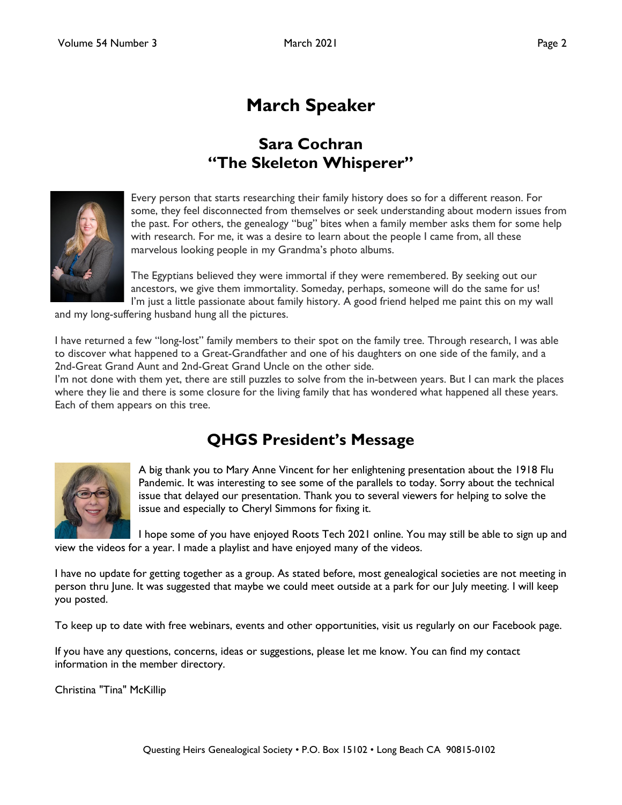## **March Speaker**

### **Sara Cochran "The Skeleton Whisperer"**

<span id="page-1-0"></span>

Every person that starts researching their family history does so for a different reason. For some, they feel disconnected from themselves or seek understanding about modern issues from the past. For others, the genealogy "bug" bites when a family member asks them for some help with research. For me, it was a desire to learn about the people I came from, all these marvelous looking people in my Grandma's photo albums.

The Egyptians believed they were immortal if they were remembered. By seeking out our ancestors, we give them immortality. Someday, perhaps, someone will do the same for us! I'm just a little passionate about family history. A good friend helped me paint this on my wall

and my long-suffering husband hung all the pictures.

I have returned a few "long-lost" family members to their spot on the family tree. Through research, I was able to discover what happened to a Great-Grandfather and one of his daughters on one side of the family, and a 2nd-Great Grand Aunt and 2nd-Great Grand Uncle on the other side.

I'm not done with them yet, there are still puzzles to solve from the in-between years. But I can mark the places where they lie and there is some closure for the living family that has wondered what happened all these years. Each of them appears on this tree.

### **QHGS President's Message**



A big thank you to Mary Anne Vincent for her enlightening presentation about the 1918 Flu Pandemic. It was interesting to see some of the parallels to today. Sorry about the technical issue that delayed our presentation. Thank you to several viewers for helping to solve the issue and especially to Cheryl Simmons for fixing it.

I hope some of you have enjoyed Roots Tech 2021 online. You may still be able to sign up and view the videos for a year. I made a playlist and have enjoyed many of the videos.

I have no update for getting together as a group. As stated before, most genealogical societies are not meeting in person thru June. It was suggested that maybe we could meet outside at a park for our July meeting. I will keep you posted.

To keep up to date with free webinars, events and other opportunities, visit us regularly on our Facebook page.

If you have any questions, concerns, ideas or suggestions, please let me know. You can find my contact information in the member directory.

Christina "Tina" McKillip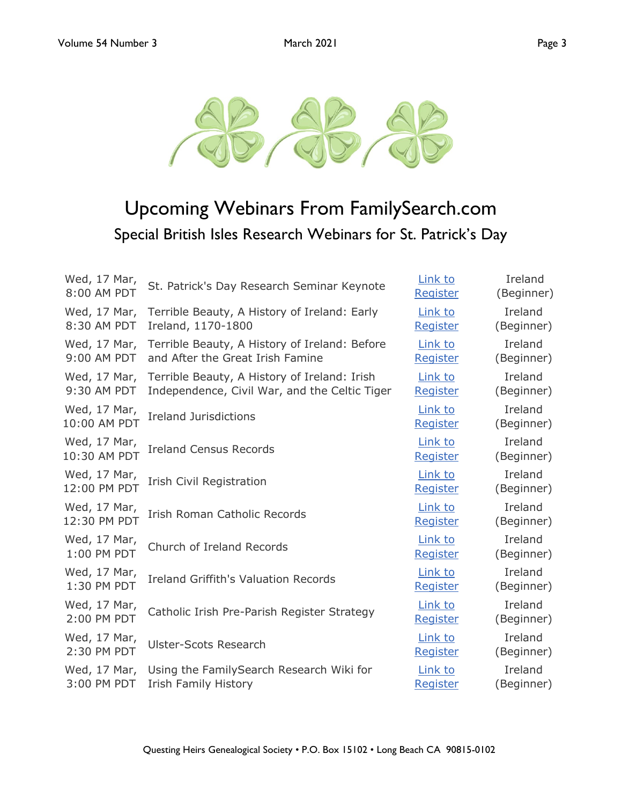

<span id="page-2-0"></span>

# Upcoming Webinars From FamilySearch.com Special British Isles Research Webinars for St. Patrick's Day

| Wed, 17 Mar, | St. Patrick's Day Research Seminar Keynote    | Link to  | Ireland    |
|--------------|-----------------------------------------------|----------|------------|
| 8:00 AM PDT  |                                               | Register | (Beginner) |
| Wed, 17 Mar, | Terrible Beauty, A History of Ireland: Early  | Link to  | Ireland    |
| 8:30 AM PDT  | Ireland, 1170-1800                            | Register | (Beginner) |
| Wed, 17 Mar, | Terrible Beauty, A History of Ireland: Before | Link to  | Ireland    |
| 9:00 AM PDT  | and After the Great Irish Famine              | Register | (Beginner) |
| Wed, 17 Mar, | Terrible Beauty, A History of Ireland: Irish  | Link to  | Ireland    |
| 9:30 AM PDT  | Independence, Civil War, and the Celtic Tiger | Register | (Beginner) |
| Wed, 17 Mar, | <b>Ireland Jurisdictions</b>                  | Link to  | Ireland    |
| 10:00 AM PDT |                                               | Register | (Beginner) |
| Wed, 17 Mar, | <b>Ireland Census Records</b>                 | Link to  | Ireland    |
| 10:30 AM PDT |                                               | Register | (Beginner) |
| Wed, 17 Mar, | <b>Irish Civil Registration</b>               | Link to  | Ireland    |
| 12:00 PM PDT |                                               | Register | (Beginner) |
| Wed, 17 Mar, | <b>Irish Roman Catholic Records</b>           | Link to  | Ireland    |
| 12:30 PM PDT |                                               | Register | (Beginner) |
| Wed, 17 Mar, | Church of Ireland Records                     | Link to  | Ireland    |
| 1:00 PM PDT  |                                               | Register | (Beginner) |
| Wed, 17 Mar, | <b>Ireland Griffith's Valuation Records</b>   | Link to  | Ireland    |
| 1:30 PM PDT  |                                               | Register | (Beginner) |
| Wed, 17 Mar, | Catholic Irish Pre-Parish Register Strategy   | Link to  | Ireland    |
| 2:00 PM PDT  |                                               | Register | (Beginner) |
| Wed, 17 Mar, | <b>Ulster-Scots Research</b>                  | Link to  | Ireland    |
| 2:30 PM PDT  |                                               | Register | (Beginner) |
| Wed, 17 Mar, | Using the FamilySearch Research Wiki for      | Link to  | Ireland    |
| 3:00 PM PDT  | <b>Irish Family History</b>                   | Register | (Beginner) |
|              |                                               |          |            |